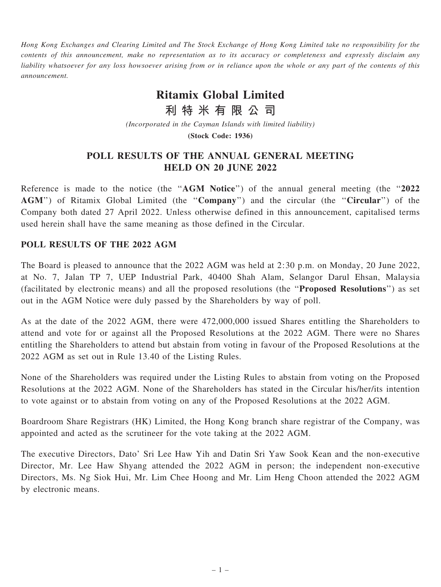Hong Kong Exchanges and Clearing Limited and The Stock Exchange of Hong Kong Limited take no responsibility for the contents of this announcement, make no representation as to its accuracy or completeness and expressly disclaim any liability whatsoever for any loss howsoever arising from or in reliance upon the whole or any part of the contents of this announcement.

# Ritamix Global Limited

利 特 米 有 限 公 司

(Incorporated in the Cayman Islands with limited liability)

(Stock Code: 1936)

## POLL RESULTS OF THE ANNUAL GENERAL MEETING HELD ON 20 JUNE 2022

Reference is made to the notice (the "AGM Notice") of the annual general meeting (the "2022" AGM") of Ritamix Global Limited (the "Company") and the circular (the "Circular") of the Company both dated 27 April 2022. Unless otherwise defined in this announcement, capitalised terms used herein shall have the same meaning as those defined in the Circular.

### POLL RESULTS OF THE 2022 AGM

The Board is pleased to announce that the 2022 AGM was held at 2:30 p.m. on Monday, 20 June 2022, at No. 7, Jalan TP 7, UEP Industrial Park, 40400 Shah Alam, Selangor Darul Ehsan, Malaysia (facilitated by electronic means) and all the proposed resolutions (the ''Proposed Resolutions'') as set out in the AGM Notice were duly passed by the Shareholders by way of poll.

As at the date of the 2022 AGM, there were 472,000,000 issued Shares entitling the Shareholders to attend and vote for or against all the Proposed Resolutions at the 2022 AGM. There were no Shares entitling the Shareholders to attend but abstain from voting in favour of the Proposed Resolutions at the 2022 AGM as set out in Rule 13.40 of the Listing Rules.

None of the Shareholders was required under the Listing Rules to abstain from voting on the Proposed Resolutions at the 2022 AGM. None of the Shareholders has stated in the Circular his/her/its intention to vote against or to abstain from voting on any of the Proposed Resolutions at the 2022 AGM.

Boardroom Share Registrars (HK) Limited, the Hong Kong branch share registrar of the Company, was appointed and acted as the scrutineer for the vote taking at the 2022 AGM.

The executive Directors, Dato' Sri Lee Haw Yih and Datin Sri Yaw Sook Kean and the non-executive Director, Mr. Lee Haw Shyang attended the 2022 AGM in person; the independent non-executive Directors, Ms. Ng Siok Hui, Mr. Lim Chee Hoong and Mr. Lim Heng Choon attended the 2022 AGM by electronic means.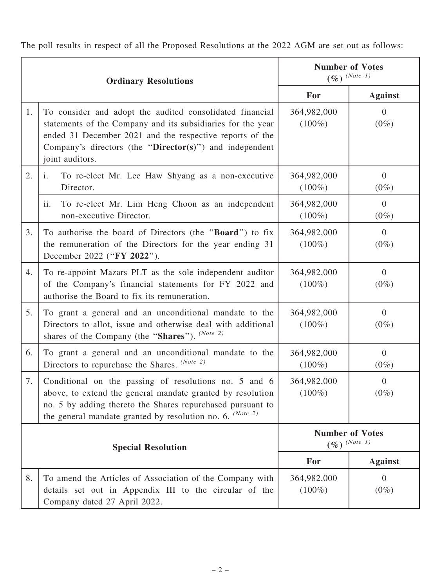The poll results in respect of all the Proposed Resolutions at the 2022 AGM are set out as follows:

| <b>Ordinary Resolutions</b> |                                                                                                                                                                                                                                                                               | <b>Number of Votes</b><br>$(\%)$ (Note 1) |                           |
|-----------------------------|-------------------------------------------------------------------------------------------------------------------------------------------------------------------------------------------------------------------------------------------------------------------------------|-------------------------------------------|---------------------------|
|                             |                                                                                                                                                                                                                                                                               | For                                       | <b>Against</b>            |
| 1.                          | To consider and adopt the audited consolidated financial<br>statements of the Company and its subsidiaries for the year<br>ended 31 December 2021 and the respective reports of the<br>Company's directors (the " $\text{Directory}(s)$ ") and independent<br>joint auditors. | 364,982,000<br>$(100\%)$                  | $\overline{0}$<br>$(0\%)$ |
| 2.                          | To re-elect Mr. Lee Haw Shyang as a non-executive<br><sup>1.</sup><br>Director.                                                                                                                                                                                               | 364,982,000<br>$(100\%)$                  | $\theta$<br>$(0\%)$       |
|                             | To re-elect Mr. Lim Heng Choon as an independent<br>11.<br>non-executive Director.                                                                                                                                                                                            | 364,982,000<br>$(100\%)$                  | $\overline{0}$<br>$(0\%)$ |
| 3.                          | To authorise the board of Directors (the " <b>Board</b> ") to fix<br>the remuneration of the Directors for the year ending 31<br>December 2022 ("FY 2022").                                                                                                                   | 364,982,000<br>$(100\%)$                  | $\overline{0}$<br>$(0\%)$ |
| 4.                          | To re-appoint Mazars PLT as the sole independent auditor<br>of the Company's financial statements for FY 2022 and<br>authorise the Board to fix its remuneration.                                                                                                             | 364,982,000<br>$(100\%)$                  | $\overline{0}$<br>$(0\%)$ |
| 5.                          | To grant a general and an unconditional mandate to the<br>Directors to allot, issue and otherwise deal with additional<br>shares of the Company (the "Shares"). (Note 2)                                                                                                      | 364,982,000<br>$(100\%)$                  | $\overline{0}$<br>$(0\%)$ |
| 6.                          | To grant a general and an unconditional mandate to the<br>Directors to repurchase the Shares. (Note 2)                                                                                                                                                                        | 364,982,000<br>$(100\%)$                  | $\overline{0}$<br>$(0\%)$ |
| 7.                          | Conditional on the passing of resolutions no. 5 and 6<br>above, to extend the general mandate granted by resolution<br>no. 5 by adding thereto the Shares repurchased pursuant to<br>the general mandate granted by resolution no. 6. (Note 2)                                | 364,982,000<br>$(100\%)$                  | $\theta$<br>$(0\%)$       |
| <b>Special Resolution</b>   |                                                                                                                                                                                                                                                                               | <b>Number of Votes</b><br>$(\%)$ (Note 1) |                           |
|                             |                                                                                                                                                                                                                                                                               | For                                       | <b>Against</b>            |
| 8.                          | To amend the Articles of Association of the Company with<br>details set out in Appendix III to the circular of the<br>Company dated 27 April 2022.                                                                                                                            | 364,982,000<br>$(100\%)$                  | $\theta$<br>$(0\%)$       |